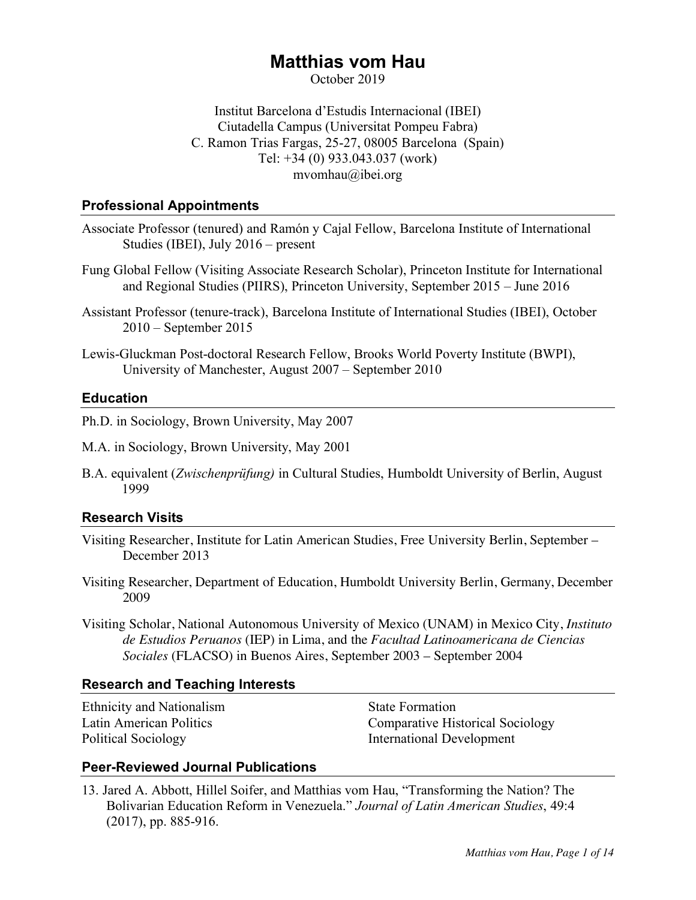# **Matthias vom Hau**

October 2019

Institut Barcelona d'Estudis Internacional (IBEI) Ciutadella Campus (Universitat Pompeu Fabra) C. Ramon Trias Fargas, 25-27, 08005 Barcelona (Spain) Tel: +34 (0) 933.043.037 (work) mvomhau@ibei.org

### **Professional Appointments**

- Associate Professor (tenured) and Ramón y Cajal Fellow, Barcelona Institute of International Studies (IBEI), July 2016 – present
- Fung Global Fellow (Visiting Associate Research Scholar), Princeton Institute for International and Regional Studies (PIIRS), Princeton University, September 2015 – June 2016
- Assistant Professor (tenure-track), Barcelona Institute of International Studies (IBEI), October 2010 – September 2015
- Lewis-Gluckman Post-doctoral Research Fellow, Brooks World Poverty Institute (BWPI), University of Manchester, August 2007 – September 2010

### **Education**

Ph.D. in Sociology, Brown University, May 2007

M.A. in Sociology, Brown University, May 2001

B.A. equivalent (*Zwischenprüfung)* in Cultural Studies, Humboldt University of Berlin, August 1999

### **Research Visits**

- Visiting Researcher, Institute for Latin American Studies, Free University Berlin, September December 2013
- Visiting Researcher, Department of Education, Humboldt University Berlin, Germany, December 2009
- Visiting Scholar, National Autonomous University of Mexico (UNAM) in Mexico City, *Instituto de Estudios Peruanos* (IEP) in Lima, and the *Facultad Latinoamericana de Ciencias Sociales* (FLACSO) in Buenos Aires, September 2003 – September 2004

### **Research and Teaching Interests**

Ethnicity and Nationalism State Formation

Latin American Politics Comparative Historical Sociology Political Sociology International Development

### **Peer-Reviewed Journal Publications**

13. Jared A. Abbott, Hillel Soifer, and Matthias vom Hau, "Transforming the Nation? The Bolivarian Education Reform in Venezuela." *Journal of Latin American Studies*, 49:4 (2017), pp. 885-916.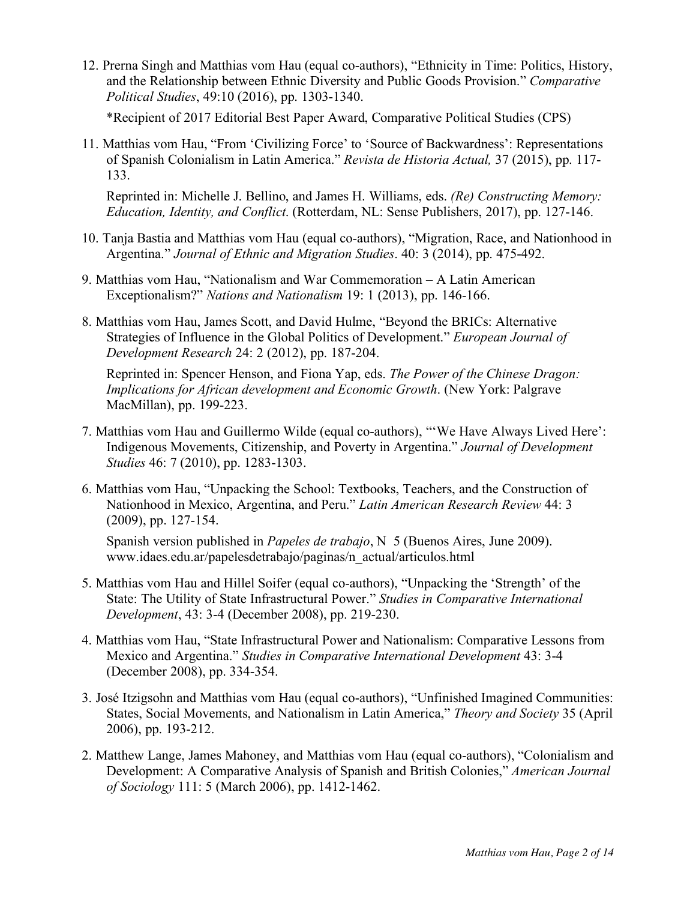12. Prerna Singh and Matthias vom Hau (equal co-authors), "Ethnicity in Time: Politics, History, and the Relationship between Ethnic Diversity and Public Goods Provision." *Comparative Political Studies*, 49:10 (2016), pp. 1303-1340.

\*Recipient of 2017 Editorial Best Paper Award, Comparative Political Studies (CPS)

11. Matthias vom Hau, "From 'Civilizing Force' to 'Source of Backwardness': Representations of Spanish Colonialism in Latin America." *Revista de Historia Actual,* 37 (2015), pp. 117- 133.

Reprinted in: Michelle J. Bellino, and James H. Williams, eds. *(Re) Constructing Memory: Education, Identity, and Conflict*. (Rotterdam, NL: Sense Publishers, 2017), pp. 127-146.

- 10. Tanja Bastia and Matthias vom Hau (equal co-authors), "Migration, Race, and Nationhood in Argentina." *Journal of Ethnic and Migration Studies*. 40: 3 (2014), pp. 475-492.
- 9. Matthias vom Hau, "Nationalism and War Commemoration A Latin American Exceptionalism?" *Nations and Nationalism* 19: 1 (2013), pp. 146-166.
- 8. Matthias vom Hau, James Scott, and David Hulme, "Beyond the BRICs: Alternative Strategies of Influence in the Global Politics of Development." *European Journal of Development Research* 24: 2 (2012), pp. 187-204.

Reprinted in: Spencer Henson, and Fiona Yap, eds. *The Power of the Chinese Dragon: Implications for African development and Economic Growth*. (New York: Palgrave MacMillan), pp. 199-223.

- 7. Matthias vom Hau and Guillermo Wilde (equal co-authors), "'We Have Always Lived Here': Indigenous Movements, Citizenship, and Poverty in Argentina." *Journal of Development Studies* 46: 7 (2010), pp. 1283-1303.
- 6. Matthias vom Hau, "Unpacking the School: Textbooks, Teachers, and the Construction of Nationhood in Mexico, Argentina, and Peru." *Latin American Research Review* 44: 3 (2009), pp. 127-154.

Spanish version published in *Papeles de trabajo*, N 5 (Buenos Aires, June 2009). www.idaes.edu.ar/papelesdetrabajo/paginas/n\_actual/articulos.html

- 5. Matthias vom Hau and Hillel Soifer (equal co-authors), "Unpacking the 'Strength' of the State: The Utility of State Infrastructural Power." *Studies in Comparative International Development*, 43: 3-4 (December 2008), pp. 219-230.
- 4. Matthias vom Hau, "State Infrastructural Power and Nationalism: Comparative Lessons from Mexico and Argentina." *Studies in Comparative International Development* 43: 3-4 (December 2008), pp. 334-354.
- 3. José Itzigsohn and Matthias vom Hau (equal co-authors), "Unfinished Imagined Communities: States, Social Movements, and Nationalism in Latin America," *Theory and Society* 35 (April 2006), pp. 193-212.
- 2. Matthew Lange, James Mahoney, and Matthias vom Hau (equal co-authors), "Colonialism and Development: A Comparative Analysis of Spanish and British Colonies," *American Journal of Sociology* 111: 5 (March 2006), pp. 1412-1462.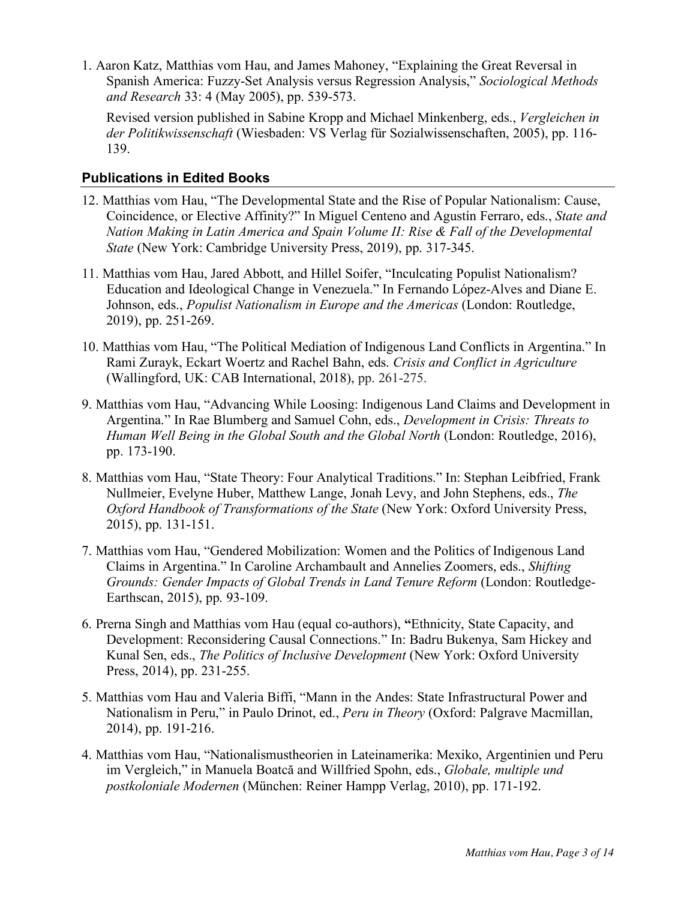1. Aaron Katz, Matthias vom Hau, and James Mahoney, "Explaining the Great Reversal in Spanish America: Fuzzy-Set Analysis versus Regression Analysis," *Sociological Methods and Research* 33: 4 (May 2005), pp. 539-573.

Revised version published in Sabine Kropp and Michael Minkenberg, eds., *Vergleichen in der Politikwissenschaft* (Wiesbaden: VS Verlag für Sozialwissenschaften, 2005), pp. 116- 139.

## **Publications in Edited Books**

- 12. Matthias vom Hau, "The Developmental State and the Rise of Popular Nationalism: Cause, Coincidence, or Elective Affinity?" In Miguel Centeno and Agustín Ferraro, eds., *State and Nation Making in Latin America and Spain Volume II: Rise & Fall of the Developmental State* (New York: Cambridge University Press, 2019), pp. 317-345.
- 11. Matthias vom Hau, Jared Abbott, and Hillel Soifer, "Inculcating Populist Nationalism? Education and Ideological Change in Venezuela." In Fernando López-Alves and Diane E. Johnson, eds., *Populist Nationalism in Europe and the Americas* (London: Routledge, 2019), pp. 251-269.
- 10. Matthias vom Hau, "The Political Mediation of Indigenous Land Conflicts in Argentina." In Rami Zurayk, Eckart Woertz and Rachel Bahn, eds. *Crisis and Conflict in Agriculture*  (Wallingford, UK: CAB International, 2018), pp. 261-275.
- 9. Matthias vom Hau, "Advancing While Loosing: Indigenous Land Claims and Development in Argentina." In Rae Blumberg and Samuel Cohn, eds., *Development in Crisis: Threats to Human Well Being in the Global South and the Global North* (London: Routledge, 2016), pp. 173-190.
- 8. Matthias vom Hau, "State Theory: Four Analytical Traditions." In: Stephan Leibfried, Frank Nullmeier, Evelyne Huber, Matthew Lange, Jonah Levy, and John Stephens, eds., *The Oxford Handbook of Transformations of the State* (New York: Oxford University Press, 2015), pp. 131-151.
- 7. Matthias vom Hau, "Gendered Mobilization: Women and the Politics of Indigenous Land Claims in Argentina." In Caroline Archambault and Annelies Zoomers, eds., *Shifting Grounds: Gender Impacts of Global Trends in Land Tenure Reform* (London: Routledge-Earthscan, 2015), pp. 93-109.
- 6. Prerna Singh and Matthias vom Hau (equal co-authors), **"**Ethnicity, State Capacity, and Development: Reconsidering Causal Connections." In: Badru Bukenya, Sam Hickey and Kunal Sen, eds., *The Politics of Inclusive Development* (New York: Oxford University Press, 2014), pp. 231-255.
- 5. Matthias vom Hau and Valeria Biffi, "Mann in the Andes: State Infrastructural Power and Nationalism in Peru," in Paulo Drinot, ed., *Peru in Theory* (Oxford: Palgrave Macmillan, 2014), pp. 191-216.
- 4. Matthias vom Hau, "Nationalismustheorien in Lateinamerika: Mexiko, Argentinien und Peru im Vergleich," in Manuela Boatcă and Willfried Spohn, eds., *Globale, multiple und postkoloniale Modernen* (München: Reiner Hampp Verlag, 2010), pp. 171-192.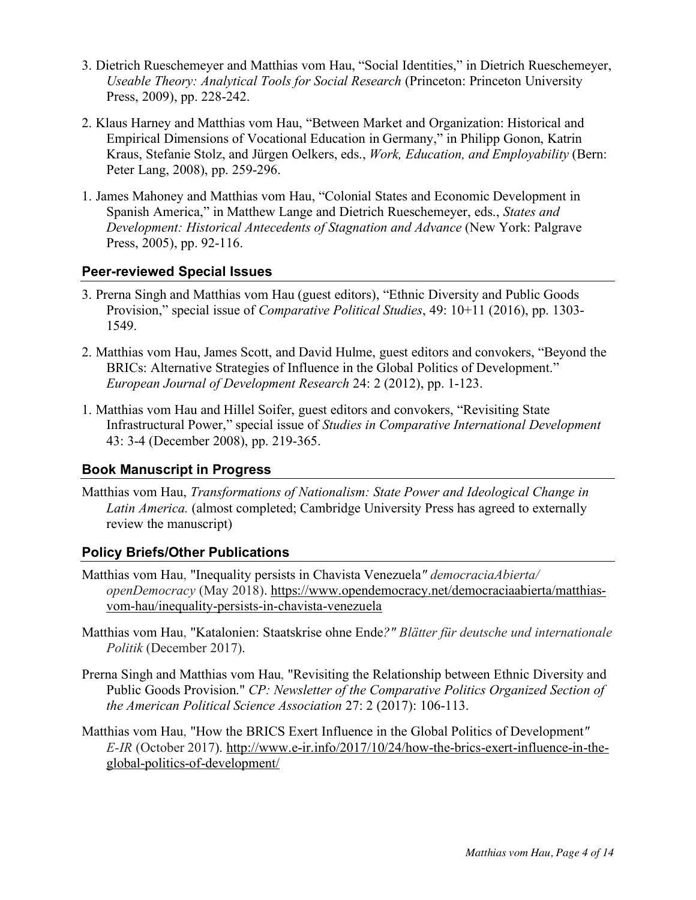- 3. Dietrich Rueschemeyer and Matthias vom Hau, "Social Identities," in Dietrich Rueschemeyer, *Useable Theory: Analytical Tools for Social Research* (Princeton: Princeton University Press, 2009), pp. 228-242.
- 2. Klaus Harney and Matthias vom Hau, "Between Market and Organization: Historical and Empirical Dimensions of Vocational Education in Germany," in Philipp Gonon, Katrin Kraus, Stefanie Stolz, and Jürgen Oelkers, eds., *Work, Education, and Employability* (Bern: Peter Lang, 2008), pp. 259-296.
- 1. James Mahoney and Matthias vom Hau, "Colonial States and Economic Development in Spanish America," in Matthew Lange and Dietrich Rueschemeyer, eds., *States and Development: Historical Antecedents of Stagnation and Advance* (New York: Palgrave Press, 2005), pp. 92-116.

### **Peer-reviewed Special Issues**

- 3. Prerna Singh and Matthias vom Hau (guest editors), "Ethnic Diversity and Public Goods Provision," special issue of *Comparative Political Studies*, 49: 10+11 (2016), pp. 1303- 1549.
- 2. Matthias vom Hau, James Scott, and David Hulme, guest editors and convokers, "Beyond the BRICs: Alternative Strategies of Influence in the Global Politics of Development." *European Journal of Development Research* 24: 2 (2012), pp. 1-123.
- 1. Matthias vom Hau and Hillel Soifer, guest editors and convokers, "Revisiting State Infrastructural Power," special issue of *Studies in Comparative International Development* 43: 3-4 (December 2008), pp. 219-365.

## **Book Manuscript in Progress**

Matthias vom Hau, *Transformations of Nationalism: State Power and Ideological Change in Latin America.* (almost completed; Cambridge University Press has agreed to externally review the manuscript)

### **Policy Briefs/Other Publications**

- Matthias vom Hau, "Inequality persists in Chavista Venezuela*" democraciaAbierta/ openDemocracy* (May 2018). https://www.opendemocracy.net/democraciaabierta/matthiasvom-hau/inequality-persists-in-chavista-venezuela
- Matthias vom Hau, "Katalonien: Staatskrise ohne Ende*?" Blätter für deutsche und internationale Politik* (December 2017).
- Prerna Singh and Matthias vom Hau, "Revisiting the Relationship between Ethnic Diversity and Public Goods Provision." *CP: Newsletter of the Comparative Politics Organized Section of the American Political Science Association* 27: 2 (2017): 106-113.
- Matthias vom Hau, "How the BRICS Exert Influence in the Global Politics of Development*" E-IR* (October 2017). http://www.e-ir.info/2017/10/24/how-the-brics-exert-influence-in-theglobal-politics-of-development/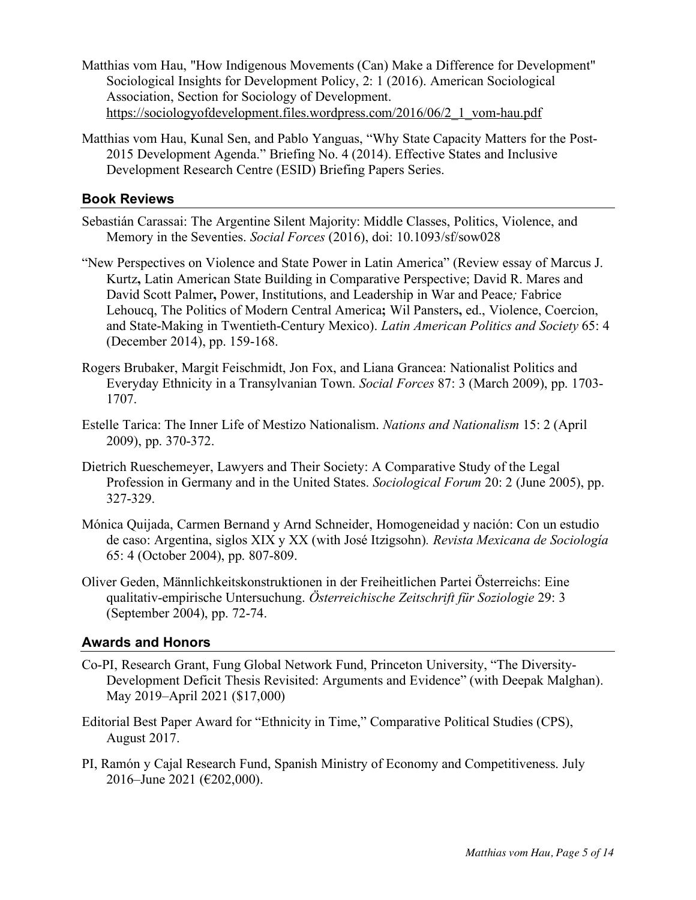- Matthias vom Hau, "How Indigenous Movements (Can) Make a Difference for Development" Sociological Insights for Development Policy, 2: 1 (2016). American Sociological Association, Section for Sociology of Development. https://sociologyofdevelopment.files.wordpress.com/2016/06/2\_1\_vom-hau.pdf
- Matthias vom Hau, Kunal Sen, and Pablo Yanguas, "Why State Capacity Matters for the Post-2015 Development Agenda." Briefing No. 4 (2014). Effective States and Inclusive Development Research Centre (ESID) Briefing Papers Series.

### **Book Reviews**

- Sebastián Carassai: The Argentine Silent Majority: Middle Classes, Politics, Violence, and Memory in the Seventies. *Social Forces* (2016), doi: 10.1093/sf/sow028
- "New Perspectives on Violence and State Power in Latin America" (Review essay of Marcus J. Kurtz**,** Latin American State Building in Comparative Perspective; David R. Mares and David Scott Palmer**,** Power, Institutions, and Leadership in War and Peace*;* Fabrice Lehoucq, The Politics of Modern Central America**;** Wil Pansters**,** ed., Violence, Coercion, and State-Making in Twentieth-Century Mexico). *Latin American Politics and Society* 65: 4 (December 2014), pp. 159-168.
- Rogers Brubaker, Margit Feischmidt, Jon Fox, and Liana Grancea: Nationalist Politics and Everyday Ethnicity in a Transylvanian Town. *Social Forces* 87: 3 (March 2009), pp. 1703- 1707.
- Estelle Tarica: The Inner Life of Mestizo Nationalism. *Nations and Nationalism* 15: 2 (April 2009), pp. 370-372.
- Dietrich Rueschemeyer, Lawyers and Their Society: A Comparative Study of the Legal Profession in Germany and in the United States. *Sociological Forum* 20: 2 (June 2005), pp. 327-329.
- Mónica Quijada, Carmen Bernand y Arnd Schneider, Homogeneidad y nación: Con un estudio de caso: Argentina, siglos XIX y XX (with José Itzigsohn)*. Revista Mexicana de Sociología*  65: 4 (October 2004), pp. 807-809.
- Oliver Geden, Männlichkeitskonstruktionen in der Freiheitlichen Partei Österreichs: Eine qualitativ-empirische Untersuchung. *Österreichische Zeitschrift für Soziologie* 29: 3 (September 2004), pp. 72-74.

### **Awards and Honors**

- Co-PI, Research Grant, Fung Global Network Fund, Princeton University, "The Diversity-Development Deficit Thesis Revisited: Arguments and Evidence" (with Deepak Malghan). May 2019–April 2021 (\$17,000)
- Editorial Best Paper Award for "Ethnicity in Time," Comparative Political Studies (CPS), August 2017.
- PI, Ramón y Cajal Research Fund, Spanish Ministry of Economy and Competitiveness. July 2016–June 2021 (€202,000).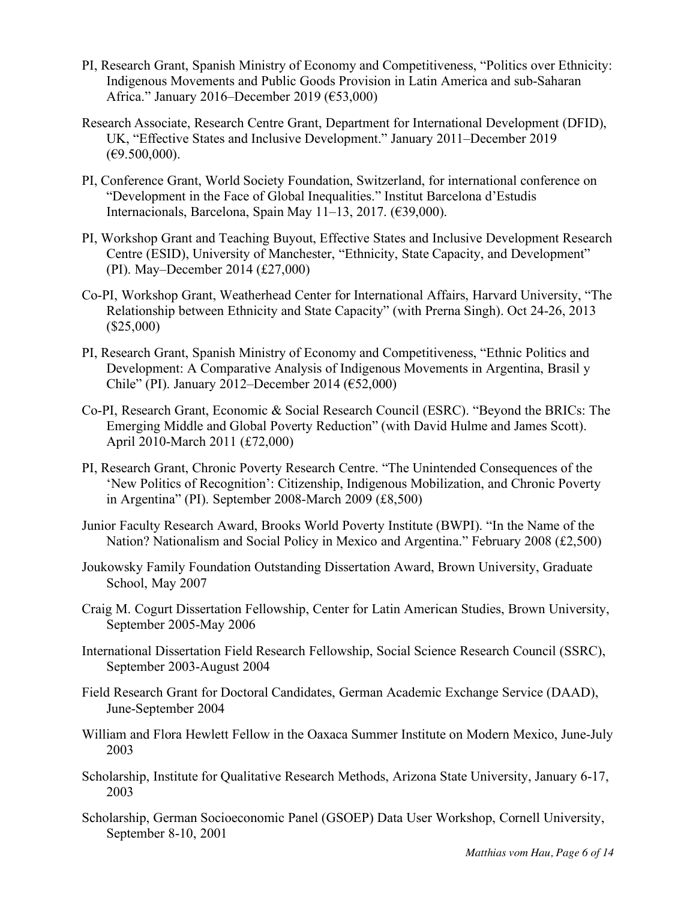- PI, Research Grant, Spanish Ministry of Economy and Competitiveness, "Politics over Ethnicity: Indigenous Movements and Public Goods Provision in Latin America and sub-Saharan Africa." January 2016–December 2019 (€53,000)
- Research Associate, Research Centre Grant, Department for International Development (DFID), UK, "Effective States and Inclusive Development." January 2011–December 2019  $(\text{\textsterling}9.500,000).$
- PI, Conference Grant, World Society Foundation, Switzerland, for international conference on "Development in the Face of Global Inequalities." Institut Barcelona d'Estudis Internacionals, Barcelona, Spain May 11–13, 2017. (€39,000).
- PI, Workshop Grant and Teaching Buyout, Effective States and Inclusive Development Research Centre (ESID), University of Manchester, "Ethnicity, State Capacity, and Development" (PI). May–December 2014 (£27,000)
- Co-PI, Workshop Grant, Weatherhead Center for International Affairs, Harvard University, "The Relationship between Ethnicity and State Capacity" (with Prerna Singh). Oct 24-26, 2013 (\$25,000)
- PI, Research Grant, Spanish Ministry of Economy and Competitiveness, "Ethnic Politics and Development: A Comparative Analysis of Indigenous Movements in Argentina, Brasil y Chile" (PI). January 2012–December 2014 (€52,000)
- Co-PI, Research Grant, Economic & Social Research Council (ESRC). "Beyond the BRICs: The Emerging Middle and Global Poverty Reduction" (with David Hulme and James Scott). April 2010-March 2011 (£72,000)
- PI, Research Grant, Chronic Poverty Research Centre. "The Unintended Consequences of the 'New Politics of Recognition': Citizenship, Indigenous Mobilization, and Chronic Poverty in Argentina" (PI). September 2008-March 2009 (£8,500)
- Junior Faculty Research Award, Brooks World Poverty Institute (BWPI). "In the Name of the Nation? Nationalism and Social Policy in Mexico and Argentina." February 2008 (£2,500)
- Joukowsky Family Foundation Outstanding Dissertation Award, Brown University, Graduate School, May 2007
- Craig M. Cogurt Dissertation Fellowship, Center for Latin American Studies, Brown University, September 2005-May 2006
- International Dissertation Field Research Fellowship, Social Science Research Council (SSRC), September 2003-August 2004
- Field Research Grant for Doctoral Candidates, German Academic Exchange Service (DAAD), June-September 2004
- William and Flora Hewlett Fellow in the Oaxaca Summer Institute on Modern Mexico, June-July 2003
- Scholarship, Institute for Qualitative Research Methods, Arizona State University, January 6-17, 2003
- Scholarship, German Socioeconomic Panel (GSOEP) Data User Workshop, Cornell University, September 8-10, 2001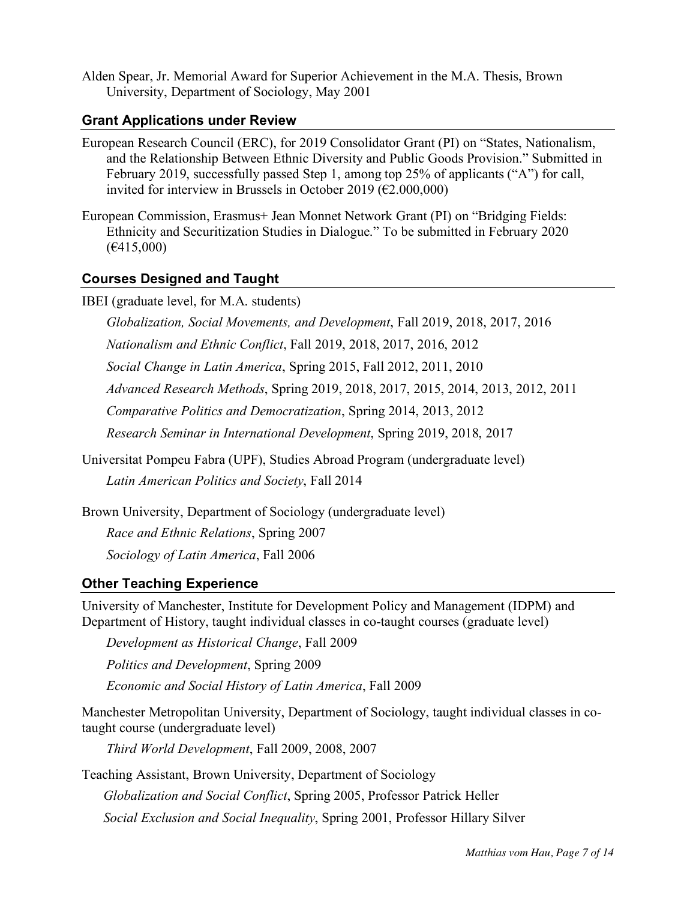Alden Spear, Jr. Memorial Award for Superior Achievement in the M.A. Thesis, Brown University, Department of Sociology, May 2001

### **Grant Applications under Review**

European Research Council (ERC), for 2019 Consolidator Grant (PI) on "States, Nationalism, and the Relationship Between Ethnic Diversity and Public Goods Provision." Submitted in February 2019, successfully passed Step 1, among top 25% of applicants ("A") for call, invited for interview in Brussels in October 2019 ( $\epsilon$ 2.000,000)

European Commission, Erasmus+ Jean Monnet Network Grant (PI) on "Bridging Fields: Ethnicity and Securitization Studies in Dialogue." To be submitted in February 2020 (€415,000)

### **Courses Designed and Taught**

IBEI (graduate level, for M.A. students)

*Globalization, Social Movements, and Development*, Fall 2019, 2018, 2017, 2016

*Nationalism and Ethnic Conflict*, Fall 2019, 2018, 2017, 2016, 2012

*Social Change in Latin America*, Spring 2015, Fall 2012, 2011, 2010

*Advanced Research Methods*, Spring 2019, 2018, 2017, 2015, 2014, 2013, 2012, 2011

*Comparative Politics and Democratization*, Spring 2014, 2013, 2012

*Research Seminar in International Development*, Spring 2019, 2018, 2017

Universitat Pompeu Fabra (UPF), Studies Abroad Program (undergraduate level) *Latin American Politics and Society*, Fall 2014

Brown University, Department of Sociology (undergraduate level)

*Race and Ethnic Relations*, Spring 2007

*Sociology of Latin America*, Fall 2006

### **Other Teaching Experience**

University of Manchester, Institute for Development Policy and Management (IDPM) and Department of History, taught individual classes in co-taught courses (graduate level)

*Development as Historical Change*, Fall 2009

*Politics and Development*, Spring 2009

*Economic and Social History of Latin America*, Fall 2009

Manchester Metropolitan University, Department of Sociology, taught individual classes in cotaught course (undergraduate level)

*Third World Development*, Fall 2009, 2008, 2007

Teaching Assistant, Brown University, Department of Sociology

*Globalization and Social Conflict*, Spring 2005, Professor Patrick Heller

*Social Exclusion and Social Inequality*, Spring 2001, Professor Hillary Silver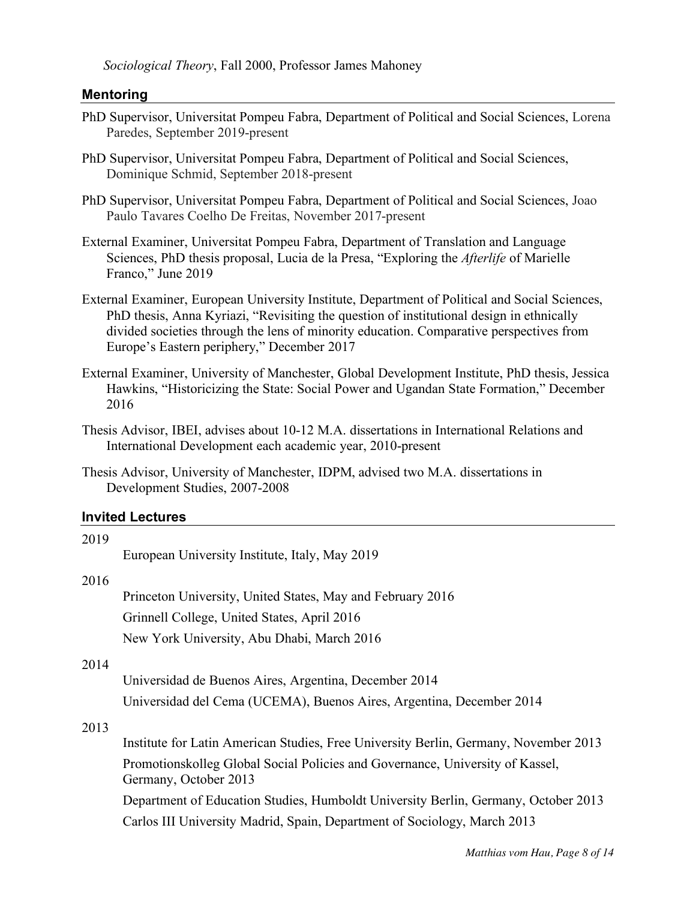*Sociological Theory*, Fall 2000, Professor James Mahoney

### **Mentoring**

- PhD Supervisor, Universitat Pompeu Fabra, Department of Political and Social Sciences, Lorena Paredes, September 2019-present
- PhD Supervisor, Universitat Pompeu Fabra, Department of Political and Social Sciences, Dominique Schmid, September 2018-present
- PhD Supervisor, Universitat Pompeu Fabra, Department of Political and Social Sciences, Joao Paulo Tavares Coelho De Freitas, November 2017-present
- External Examiner, Universitat Pompeu Fabra, Department of Translation and Language Sciences, PhD thesis proposal, Lucia de la Presa, "Exploring the *Afterlife* of Marielle Franco," June 2019
- External Examiner, European University Institute, Department of Political and Social Sciences, PhD thesis, Anna Kyriazi, "Revisiting the question of institutional design in ethnically divided societies through the lens of minority education. Comparative perspectives from Europe's Eastern periphery," December 2017
- External Examiner, University of Manchester, Global Development Institute, PhD thesis, Jessica Hawkins, "Historicizing the State: Social Power and Ugandan State Formation," December 2016
- Thesis Advisor, IBEI, advises about 10-12 M.A. dissertations in International Relations and International Development each academic year, 2010-present
- Thesis Advisor, University of Manchester, IDPM, advised two M.A. dissertations in Development Studies, 2007-2008

#### **Invited Lectures**

| 2019 |                                                                                                        |
|------|--------------------------------------------------------------------------------------------------------|
|      | European University Institute, Italy, May 2019                                                         |
| 2016 |                                                                                                        |
|      | Princeton University, United States, May and February 2016                                             |
|      | Grinnell College, United States, April 2016                                                            |
|      | New York University, Abu Dhabi, March 2016                                                             |
| 2014 |                                                                                                        |
|      | Universidad de Buenos Aires, Argentina, December 2014                                                  |
|      | Universidad del Cema (UCEMA), Buenos Aires, Argentina, December 2014                                   |
| 2013 |                                                                                                        |
|      | Institute for Latin American Studies, Free University Berlin, Germany, November 2013                   |
|      | Promotionskolleg Global Social Policies and Governance, University of Kassel,<br>Germany, October 2013 |
|      | Department of Education Studies, Humboldt University Berlin, Germany, October 2013                     |
|      | Carlos III University Madrid, Spain, Department of Sociology, March 2013                               |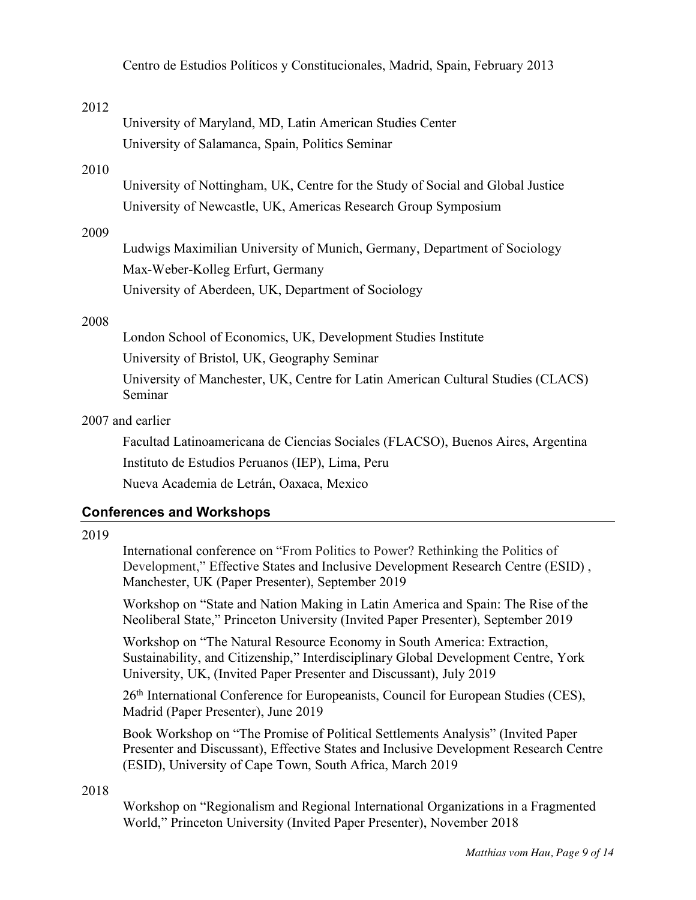Centro de Estudios Políticos y Constitucionales, Madrid, Spain, February 2013

#### 2012

University of Maryland, MD, Latin American Studies Center University of Salamanca, Spain, Politics Seminar

#### 2010

University of Nottingham, UK, Centre for the Study of Social and Global Justice University of Newcastle, UK, Americas Research Group Symposium

### 2009

Ludwigs Maximilian University of Munich, Germany, Department of Sociology Max-Weber-Kolleg Erfurt, Germany University of Aberdeen, UK, Department of Sociology

#### 2008

London School of Economics, UK, Development Studies Institute University of Bristol, UK, Geography Seminar University of Manchester, UK, Centre for Latin American Cultural Studies (CLACS) Seminar

### 2007 and earlier

Facultad Latinoamericana de Ciencias Sociales (FLACSO), Buenos Aires, Argentina Instituto de Estudios Peruanos (IEP), Lima, Peru Nueva Academia de Letrán, Oaxaca, Mexico

### **Conferences and Workshops**

#### 2019

International conference on "From Politics to Power? Rethinking the Politics of Development," Effective States and Inclusive Development Research Centre (ESID) , Manchester, UK (Paper Presenter), September 2019

Workshop on "State and Nation Making in Latin America and Spain: The Rise of the Neoliberal State," Princeton University (Invited Paper Presenter), September 2019

Workshop on "The Natural Resource Economy in South America: Extraction, Sustainability, and Citizenship," Interdisciplinary Global Development Centre, York University, UK, (Invited Paper Presenter and Discussant), July 2019

26<sup>th</sup> International Conference for Europeanists, Council for European Studies (CES), Madrid (Paper Presenter), June 2019

Book Workshop on "The Promise of Political Settlements Analysis" (Invited Paper Presenter and Discussant), Effective States and Inclusive Development Research Centre (ESID), University of Cape Town, South Africa, March 2019

#### 2018

Workshop on "Regionalism and Regional International Organizations in a Fragmented World," Princeton University (Invited Paper Presenter), November 2018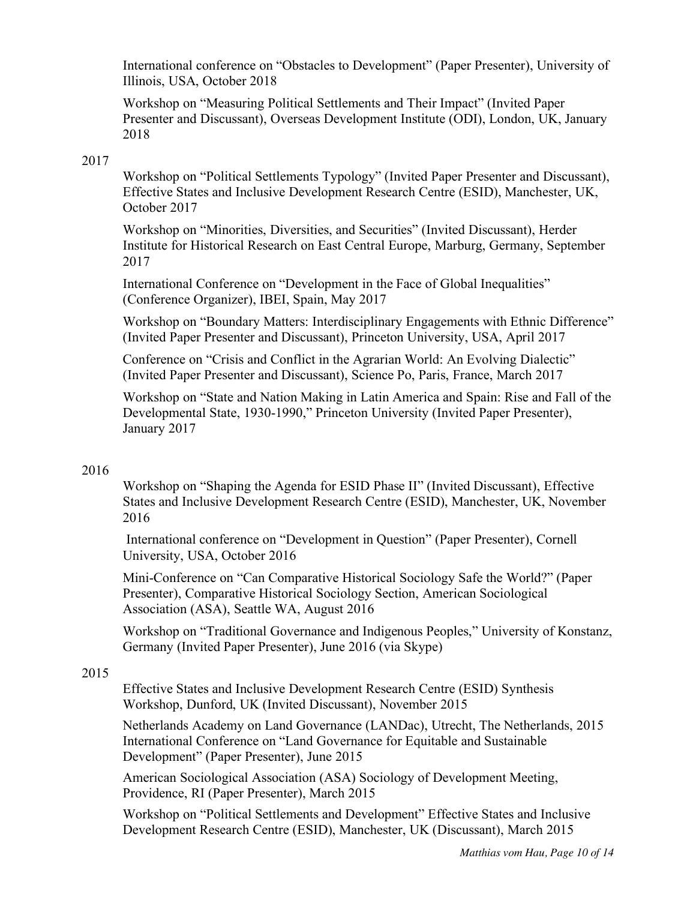International conference on "Obstacles to Development" (Paper Presenter), University of Illinois, USA, October 2018

Workshop on "Measuring Political Settlements and Their Impact" (Invited Paper Presenter and Discussant), Overseas Development Institute (ODI), London, UK, January 2018

### 2017

Workshop on "Political Settlements Typology" (Invited Paper Presenter and Discussant), Effective States and Inclusive Development Research Centre (ESID), Manchester, UK, October 2017

Workshop on "Minorities, Diversities, and Securities" (Invited Discussant), Herder Institute for Historical Research on East Central Europe, Marburg, Germany, September 2017

International Conference on "Development in the Face of Global Inequalities" (Conference Organizer), IBEI, Spain, May 2017

Workshop on "Boundary Matters: Interdisciplinary Engagements with Ethnic Difference" (Invited Paper Presenter and Discussant), Princeton University, USA, April 2017

Conference on "Crisis and Conflict in the Agrarian World: An Evolving Dialectic" (Invited Paper Presenter and Discussant), Science Po, Paris, France, March 2017

Workshop on "State and Nation Making in Latin America and Spain: Rise and Fall of the Developmental State, 1930-1990," Princeton University (Invited Paper Presenter), January 2017

### 2016

Workshop on "Shaping the Agenda for ESID Phase II" (Invited Discussant), Effective States and Inclusive Development Research Centre (ESID), Manchester, UK, November 2016

International conference on "Development in Question" (Paper Presenter), Cornell University, USA, October 2016

Mini-Conference on "Can Comparative Historical Sociology Safe the World?" (Paper Presenter), Comparative Historical Sociology Section, American Sociological Association (ASA), Seattle WA, August 2016

Workshop on "Traditional Governance and Indigenous Peoples," University of Konstanz, Germany (Invited Paper Presenter), June 2016 (via Skype)

### 2015

Effective States and Inclusive Development Research Centre (ESID) Synthesis Workshop, Dunford, UK (Invited Discussant), November 2015

Netherlands Academy on Land Governance (LANDac), Utrecht, The Netherlands, 2015 International Conference on "Land Governance for Equitable and Sustainable Development" (Paper Presenter), June 2015

American Sociological Association (ASA) Sociology of Development Meeting, Providence, RI (Paper Presenter), March 2015

Workshop on "Political Settlements and Development" Effective States and Inclusive Development Research Centre (ESID), Manchester, UK (Discussant), March 2015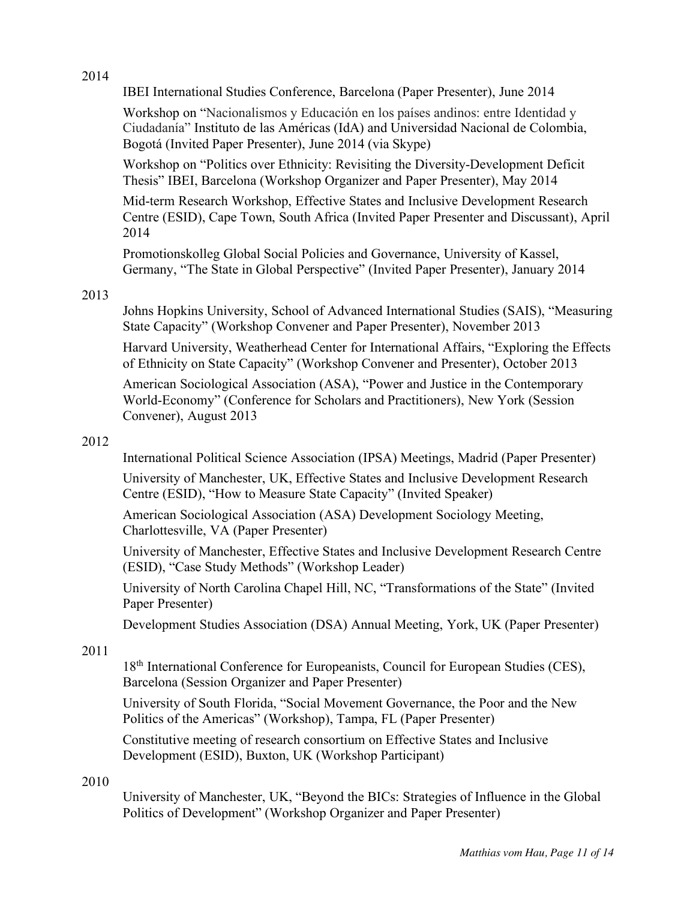### 2014

IBEI International Studies Conference, Barcelona (Paper Presenter), June 2014

Workshop on "Nacionalismos y Educación en los países andinos: entre Identidad y Ciudadanía" Instituto de las Américas (IdA) and Universidad Nacional de Colombia, Bogotá (Invited Paper Presenter), June 2014 (via Skype)

Workshop on "Politics over Ethnicity: Revisiting the Diversity-Development Deficit Thesis" IBEI, Barcelona (Workshop Organizer and Paper Presenter), May 2014

Mid-term Research Workshop, Effective States and Inclusive Development Research Centre (ESID), Cape Town, South Africa (Invited Paper Presenter and Discussant), April 2014

Promotionskolleg Global Social Policies and Governance, University of Kassel, Germany, "The State in Global Perspective" (Invited Paper Presenter), January 2014

## 2013

Johns Hopkins University, School of Advanced International Studies (SAIS), "Measuring State Capacity" (Workshop Convener and Paper Presenter), November 2013

Harvard University, Weatherhead Center for International Affairs, "Exploring the Effects of Ethnicity on State Capacity" (Workshop Convener and Presenter), October 2013

American Sociological Association (ASA), "Power and Justice in the Contemporary World-Economy" (Conference for Scholars and Practitioners), New York (Session Convener), August 2013

## 2012

International Political Science Association (IPSA) Meetings, Madrid (Paper Presenter)

University of Manchester, UK, Effective States and Inclusive Development Research Centre (ESID), "How to Measure State Capacity" (Invited Speaker)

American Sociological Association (ASA) Development Sociology Meeting, Charlottesville, VA (Paper Presenter)

University of Manchester, Effective States and Inclusive Development Research Centre (ESID), "Case Study Methods" (Workshop Leader)

University of North Carolina Chapel Hill, NC, "Transformations of the State" (Invited Paper Presenter)

Development Studies Association (DSA) Annual Meeting, York, UK (Paper Presenter)

## 2011

18<sup>th</sup> International Conference for Europeanists, Council for European Studies (CES), Barcelona (Session Organizer and Paper Presenter)

University of South Florida, "Social Movement Governance, the Poor and the New Politics of the Americas" (Workshop), Tampa, FL (Paper Presenter)

Constitutive meeting of research consortium on Effective States and Inclusive Development (ESID), Buxton, UK (Workshop Participant)

## 2010

University of Manchester, UK, "Beyond the BICs: Strategies of Influence in the Global Politics of Development" (Workshop Organizer and Paper Presenter)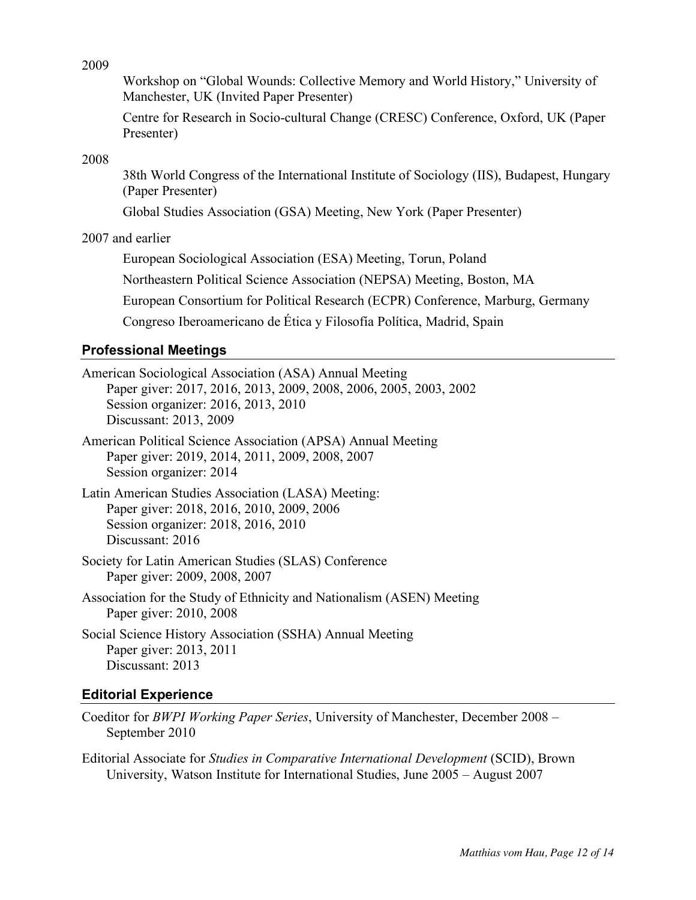2009

Workshop on "Global Wounds: Collective Memory and World History," University of Manchester, UK (Invited Paper Presenter)

Centre for Research in Socio-cultural Change (CRESC) Conference, Oxford, UK (Paper Presenter)

2008

38th World Congress of the International Institute of Sociology (IIS), Budapest, Hungary (Paper Presenter)

Global Studies Association (GSA) Meeting, New York (Paper Presenter)

2007 and earlier

European Sociological Association (ESA) Meeting, Torun, Poland Northeastern Political Science Association (NEPSA) Meeting, Boston, MA European Consortium for Political Research (ECPR) Conference, Marburg, Germany

Congreso Iberoamericano de Ética y Filosofía Política, Madrid, Spain

### **Professional Meetings**

American Sociological Association (ASA) Annual Meeting Paper giver: 2017, 2016, 2013, 2009, 2008, 2006, 2005, 2003, 2002 Session organizer: 2016, 2013, 2010 Discussant: 2013, 2009

- American Political Science Association (APSA) Annual Meeting Paper giver: 2019, 2014, 2011, 2009, 2008, 2007 Session organizer: 2014
- Latin American Studies Association (LASA) Meeting: Paper giver: 2018, 2016, 2010, 2009, 2006 Session organizer: 2018, 2016, 2010 Discussant: 2016
- Society for Latin American Studies (SLAS) Conference Paper giver: 2009, 2008, 2007
- Association for the Study of Ethnicity and Nationalism (ASEN) Meeting Paper giver: 2010, 2008

Social Science History Association (SSHA) Annual Meeting Paper giver: 2013, 2011 Discussant: 2013

### **Editorial Experience**

Coeditor for *BWPI Working Paper Series*, University of Manchester, December 2008 – September 2010

Editorial Associate for *Studies in Comparative International Development* (SCID), Brown University, Watson Institute for International Studies, June 2005 – August 2007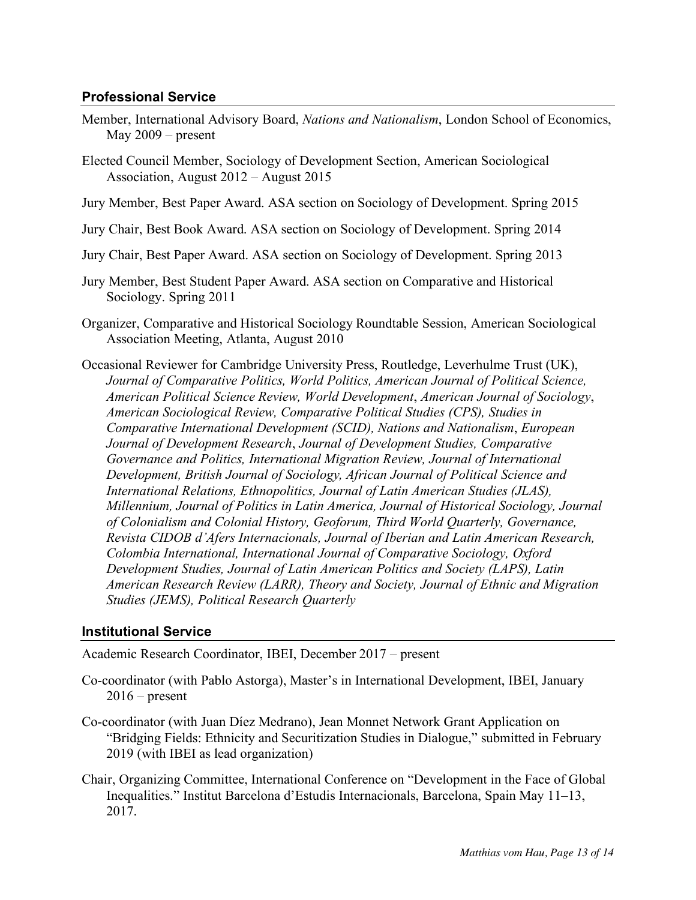## **Professional Service**

- Member, International Advisory Board, *Nations and Nationalism*, London School of Economics, May 2009 – present
- Elected Council Member, Sociology of Development Section, American Sociological Association, August 2012 – August 2015
- Jury Member, Best Paper Award. ASA section on Sociology of Development. Spring 2015
- Jury Chair, Best Book Award. ASA section on Sociology of Development. Spring 2014
- Jury Chair, Best Paper Award. ASA section on Sociology of Development. Spring 2013
- Jury Member, Best Student Paper Award. ASA section on Comparative and Historical Sociology. Spring 2011
- Organizer, Comparative and Historical Sociology Roundtable Session, American Sociological Association Meeting, Atlanta, August 2010
- Occasional Reviewer for Cambridge University Press, Routledge, Leverhulme Trust (UK), *Journal of Comparative Politics, World Politics, American Journal of Political Science, American Political Science Review, World Development*, *American Journal of Sociology*, *American Sociological Review, Comparative Political Studies (CPS), Studies in Comparative International Development (SCID), Nations and Nationalism*, *European Journal of Development Research*, *Journal of Development Studies, Comparative Governance and Politics, International Migration Review, Journal of International Development, British Journal of Sociology, African Journal of Political Science and International Relations, Ethnopolitics, Journal of Latin American Studies (JLAS), Millennium, Journal of Politics in Latin America, Journal of Historical Sociology, Journal of Colonialism and Colonial History, Geoforum, Third World Quarterly, Governance, Revista CIDOB d'Afers Internacionals, Journal of Iberian and Latin American Research, Colombia International, International Journal of Comparative Sociology, Oxford Development Studies, Journal of Latin American Politics and Society (LAPS), Latin American Research Review (LARR), Theory and Society, Journal of Ethnic and Migration Studies (JEMS), Political Research Quarterly*

### **Institutional Service**

Academic Research Coordinator, IBEI, December 2017 – present

- Co-coordinator (with Pablo Astorga), Master's in International Development, IBEI, January  $2016$  – present
- Co-coordinator (with Juan Díez Medrano), Jean Monnet Network Grant Application on "Bridging Fields: Ethnicity and Securitization Studies in Dialogue," submitted in February 2019 (with IBEI as lead organization)
- Chair, Organizing Committee, International Conference on "Development in the Face of Global Inequalities." Institut Barcelona d'Estudis Internacionals, Barcelona, Spain May 11–13, 2017.